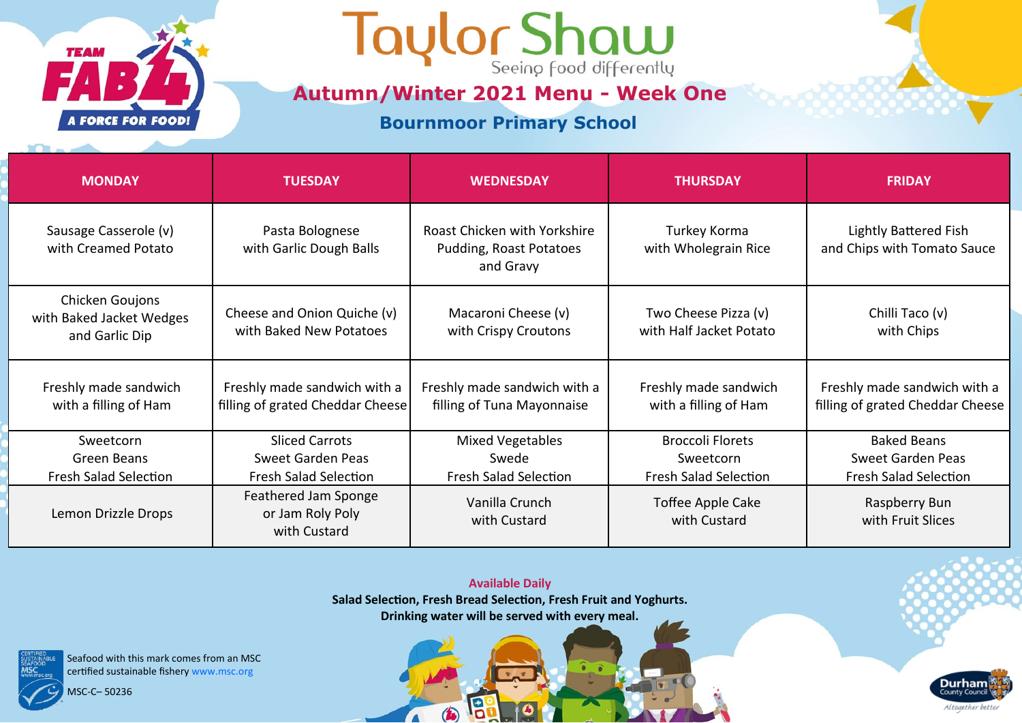

### Taylor Shaw

**Autumn/Winter 2021 Menu - Week One**

**Bournmoor Primary School**

| <b>MONDAY</b>                                                 | <b>TUESDAY</b>                                                   | <b>WEDNESDAY</b>                                                     | <b>THURSDAY</b>                                 | <b>FRIDAY</b>                                                    |
|---------------------------------------------------------------|------------------------------------------------------------------|----------------------------------------------------------------------|-------------------------------------------------|------------------------------------------------------------------|
| Sausage Casserole (v)<br>with Creamed Potato                  | Pasta Bolognese<br>with Garlic Dough Balls                       | Roast Chicken with Yorkshire<br>Pudding, Roast Potatoes<br>and Gravy | Turkey Korma<br>with Wholegrain Rice            | Lightly Battered Fish<br>and Chips with Tomato Sauce             |
| Chicken Goujons<br>with Baked Jacket Wedges<br>and Garlic Dip | Cheese and Onion Quiche (v)<br>with Baked New Potatoes           | Macaroni Cheese (v)<br>with Crispy Croutons                          | Two Cheese Pizza (v)<br>with Half Jacket Potato | Chilli Taco (v)<br>with Chips                                    |
| Freshly made sandwich<br>with a filling of Ham                | Freshly made sandwich with a<br>filling of grated Cheddar Cheese | Freshly made sandwich with a<br>filling of Tuna Mayonnaise           | Freshly made sandwich<br>with a filling of Ham  | Freshly made sandwich with a<br>filling of grated Cheddar Cheese |
| Sweetcorn                                                     | <b>Sliced Carrots</b>                                            | Mixed Vegetables                                                     | <b>Broccoli Florets</b>                         | <b>Baked Beans</b>                                               |
| Green Beans                                                   | Sweet Garden Peas                                                | Swede                                                                | Sweetcorn                                       | <b>Sweet Garden Peas</b>                                         |
| <b>Fresh Salad Selection</b>                                  | <b>Fresh Salad Selection</b>                                     | <b>Fresh Salad Selection</b>                                         | <b>Fresh Salad Selection</b>                    | <b>Fresh Salad Selection</b>                                     |
| Lemon Drizzle Drops                                           | <b>Feathered Jam Sponge</b><br>or Jam Roly Poly<br>with Custard  | Vanilla Crunch<br>with Custard                                       | Toffee Apple Cake<br>with Custard               | Raspberry Bun<br>with Fruit Slices                               |

**Available Daily Salad Selection, Fresh Bread Selection, Fresh Fruit and Yoghurts. Drinking water will be served with every meal.** 

13

 $\bigcirc$ 

 $\sqrt{2}$ 

**Durham** 

Altogether better

Seafood with this mark comes from an MSC certified sustainable fishery www.msc.org

MSC-C– 50236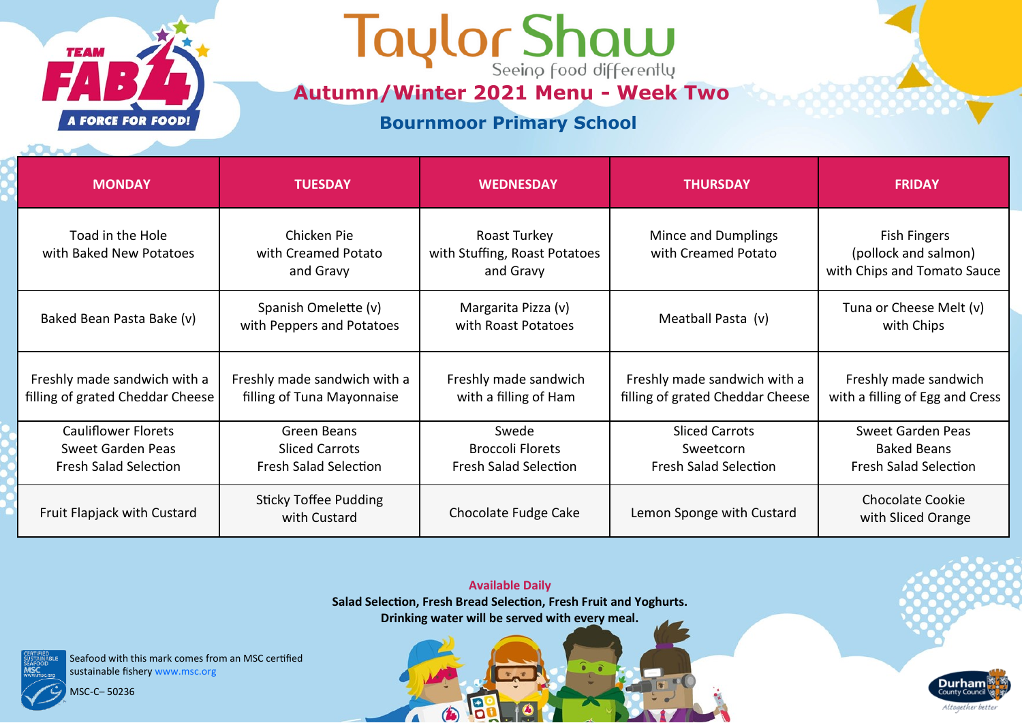

## Taylor Shaw

**Autumn/Winter 2021 Menu - Week Two**

#### **Bournmoor Primary School**

| <b>MONDAY</b>                                                                   | <b>TUESDAY</b>                                                       | <b>WEDNESDAY</b>                                                 | <b>THURSDAY</b>                                                    | <b>FRIDAY</b>                                                              |
|---------------------------------------------------------------------------------|----------------------------------------------------------------------|------------------------------------------------------------------|--------------------------------------------------------------------|----------------------------------------------------------------------------|
| Toad in the Hole<br>with Baked New Potatoes                                     | Chicken Pie<br>with Creamed Potato<br>and Gravy                      | Roast Turkey<br>with Stuffing, Roast Potatoes<br>and Gravy       | Mince and Dumplings<br>with Creamed Potato                         | <b>Fish Fingers</b><br>(pollock and salmon)<br>with Chips and Tomato Sauce |
| Baked Bean Pasta Bake (v)                                                       | Spanish Omelette (v)<br>with Peppers and Potatoes                    | Margarita Pizza (v)<br>with Roast Potatoes                       | Meatball Pasta (v)                                                 | Tuna or Cheese Melt (v)<br>with Chips                                      |
| Freshly made sandwich with a<br>filling of grated Cheddar Cheese                | Freshly made sandwich with a<br>filling of Tuna Mayonnaise           | Freshly made sandwich<br>with a filling of Ham                   | Freshly made sandwich with a<br>filling of grated Cheddar Cheese   | Freshly made sandwich<br>with a filling of Egg and Cress                   |
| <b>Cauliflower Florets</b><br>Sweet Garden Peas<br><b>Fresh Salad Selection</b> | Green Beans<br><b>Sliced Carrots</b><br><b>Fresh Salad Selection</b> | Swede<br><b>Broccoli Florets</b><br><b>Fresh Salad Selection</b> | <b>Sliced Carrots</b><br>Sweetcorn<br><b>Fresh Salad Selection</b> | Sweet Garden Peas<br><b>Baked Beans</b><br><b>Fresh Salad Selection</b>    |
| Fruit Flapjack with Custard                                                     | <b>Sticky Toffee Pudding</b><br>with Custard                         | Chocolate Fudge Cake                                             | Lemon Sponge with Custard                                          | <b>Chocolate Cookie</b><br>with Sliced Orange                              |



19

 $\bigcirc$ 

 $\sqrt{2}$ 

Seafood with this mark comes from an MSC certified sustainable fishery www.msc.org

MSC-C– 50236

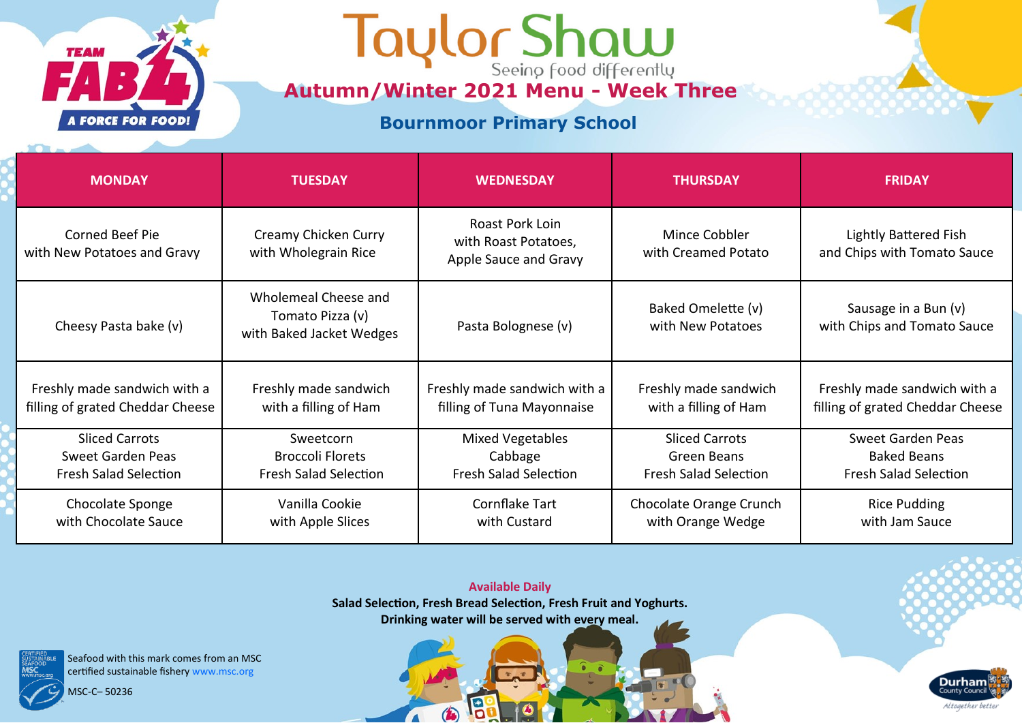

# **Autumn/Winter 2021 Menu - Week Three**

### **Bournmoor Primary School**

| <b>MONDAY</b>                                         | <b>TUESDAY</b>                                                       | <b>WEDNESDAY</b>                                                 | <b>THURSDAY</b>                         | <b>FRIDAY</b>                                               |
|-------------------------------------------------------|----------------------------------------------------------------------|------------------------------------------------------------------|-----------------------------------------|-------------------------------------------------------------|
| <b>Corned Beef Pie</b><br>with New Potatoes and Gravy | Creamy Chicken Curry<br>with Wholegrain Rice                         | Roast Pork Loin<br>with Roast Potatoes,<br>Apple Sauce and Gravy | Mince Cobbler<br>with Creamed Potato    | <b>Lightly Battered Fish</b><br>and Chips with Tomato Sauce |
| Cheesy Pasta bake (v)                                 | Wholemeal Cheese and<br>Tomato Pizza (v)<br>with Baked Jacket Wedges | Pasta Bolognese (v)                                              | Baked Omelette (v)<br>with New Potatoes | Sausage in a Bun (v)<br>with Chips and Tomato Sauce         |
| Freshly made sandwich with a                          | Freshly made sandwich                                                | Freshly made sandwich with a                                     | Freshly made sandwich                   | Freshly made sandwich with a                                |
| filling of grated Cheddar Cheese                      | with a filling of Ham                                                | filling of Tuna Mayonnaise                                       | with a filling of Ham                   | filling of grated Cheddar Cheese                            |
| <b>Sliced Carrots</b>                                 | Sweetcorn                                                            | Mixed Vegetables                                                 | <b>Sliced Carrots</b>                   | Sweet Garden Peas                                           |
| <b>Sweet Garden Peas</b>                              | <b>Broccoli Florets</b>                                              | Cabbage                                                          | Green Beans                             | <b>Baked Beans</b>                                          |
| <b>Fresh Salad Selection</b>                          | <b>Fresh Salad Selection</b>                                         | <b>Fresh Salad Selection</b>                                     | <b>Fresh Salad Selection</b>            | <b>Fresh Salad Selection</b>                                |
| Chocolate Sponge                                      | Vanilla Cookie                                                       | Cornflake Tart                                                   | Chocolate Orange Crunch                 | <b>Rice Pudding</b>                                         |
| with Chocolate Sauce                                  | with Apple Slices                                                    | with Custard                                                     | with Orange Wedge                       | with Jam Sauce                                              |

**Available Daily Salad Selection, Fresh Bread Selection, Fresh Fruit and Yoghurts. Drinking water will be served with every meal.** 

13

 $\bigcirc$ 

 $\sqrt{2}$ 

Seafood with this mark comes from an MSC certified sustainable fishery www.msc.org

MSC-C– 50236